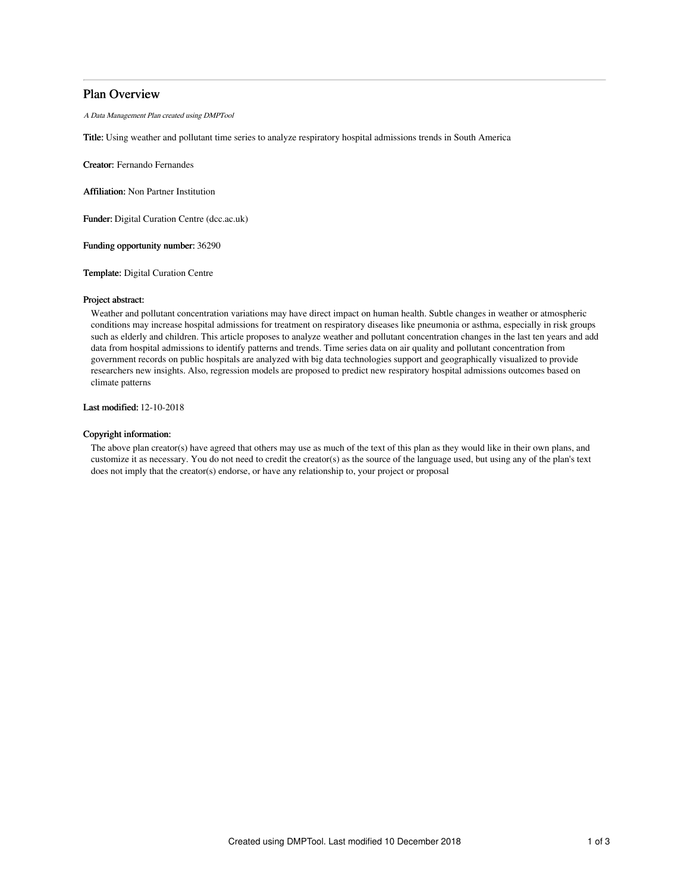# Plan Overview

A Data Management Plan created using DMPTool

Title: Using weather and pollutant time series to analyze respiratory hospital admissions trends in South America

Creator: Fernando Fernandes

Affiliation: Non Partner Institution

Funder: Digital Curation Centre (dcc.ac.uk)

Funding opportunity number: 36290

Template: Digital Curation Centre

### Project abstract:

Weather and pollutant concentration variations may have direct impact on human health. Subtle changes in weather or atmospheric conditions may increase hospital admissions for treatment on respiratory diseases like pneumonia or asthma, especially in risk groups such as elderly and children. This article proposes to analyze weather and pollutant concentration changes in the last ten years and add data from hospital admissions to identify patterns and trends. Time series data on air quality and pollutant concentration from government records on public hospitals are analyzed with big data technologies support and geographically visualized to provide researchers new insights. Also, regression models are proposed to predict new respiratory hospital admissions outcomes based on climate patterns

Last modified: 12-10-2018

# Copyright information:

The above plan creator(s) have agreed that others may use as much of the text of this plan as they would like in their own plans, and customize it as necessary. You do not need to credit the creator(s) as the source of the language used, but using any of the plan's text does not imply that the creator(s) endorse, or have any relationship to, your project or proposal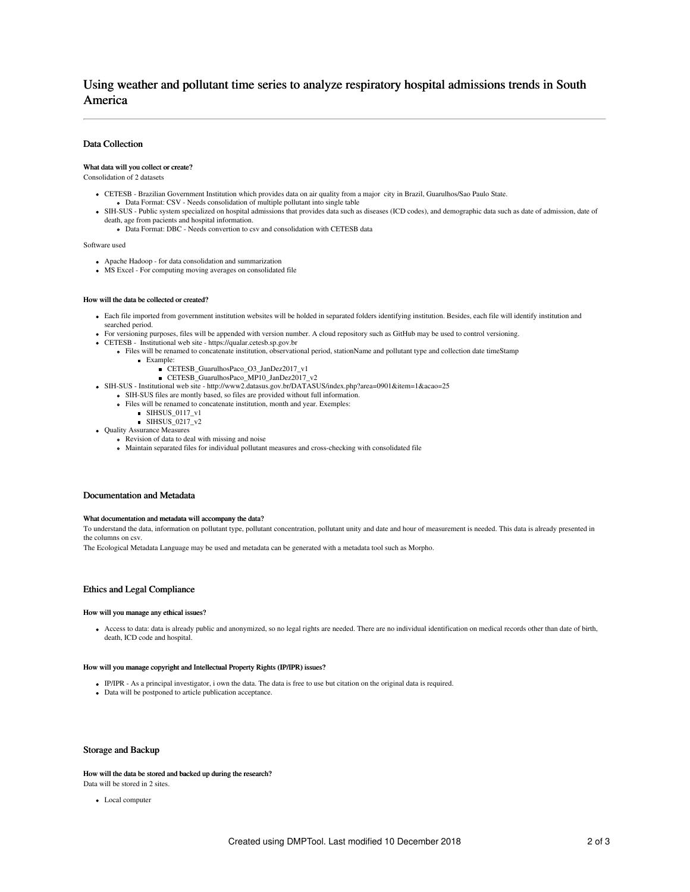# Using weather and pollutant time series to analyze respiratory hospital admissions trends in South America

# Data Collection

### What data will you collect or create?

Consolidation of 2 datasets

- CETESB Brazilian Government Institution which provides data on air quality from a major city in Brazil, Guarulhos/Sao Paulo State. Data Format: CSV - Needs consolidation of multiple pollutant into single table
- 
- SIH-SUS Public system specialized on hospital admissions that provides data such as diseases (ICD codes), and demographic data such as date of admission, date of death, age from pacients and hospital information.
	- Data Format: DBC Needs convertion to csv and consolidation with CETESB data

Software used

- Apache Hadoop for data consolidation and summarization
- MS Excel For computing moving averages on consolidated file

#### How will the data be collected or created?

- Each file imported from government institution websites will be holded in separated folders identifying institution. Besides, each file will identify institution and searched period.
- For versioning purposes, files will be appended with version number. A cloud repository such as GitHub may be used to control versioning.
- CETESB Institutional web site https://qualar.cetesb.sp.gov.br
	- Files will be renamed to concatenate institution, observational period, stationName and pollutant type and collection date timeStamp Example:
		- CETESB\_GuarulhosPaco\_O3\_JanDez2017\_v1
		- CETESB\_GuarulhosPaco\_MP10\_JanDez2017\_v2
- SIH-SUS Institutional web site http://www2.datasus.gov.br/DATASUS/index.php?area=0901&item=1&acao=25
	- SIH-SUS files are montly based, so files are provided without full information.
		- Files will be renamed to concatenate institution, month and year. Exemples:
			- SIHSUS\_0117\_v1
			- SIHSUS\_0217\_v2
- Ouality Assurance Measures
	- Revision of data to deal with missing and noise
		- Maintain separated files for individual pollutant measures and cross-checking with consolidated file

### Documentation and Metadata

#### What documentation and metadata will accompany the data?

To understand the data, information on pollutant type, pollutant concentration, pollutant unity and date and hour of measurement is needed. This data is already presented in the columns on csv.

The Ecological Metadata Language may be used and metadata can be generated with a metadata tool such as Morpho.

# Ethics and Legal Compliance

#### How will you manage any ethical issues?

Access to data: data is already public and anonymized, so no legal rights are needed. There are no individual identification on medical records other than date of birth, death, ICD code and hospital.

# How will you manage copyright and Intellectual Property Rights (IP/IPR) issues?

- IP/IPR As a principal investigator, i own the data. The data is free to use but citation on the original data is required.
- Data will be postponed to article publication acceptance.

# Storage and Backup

How will the data be stored and backed up during the research? Data will be stored in 2 sites.

Local computer